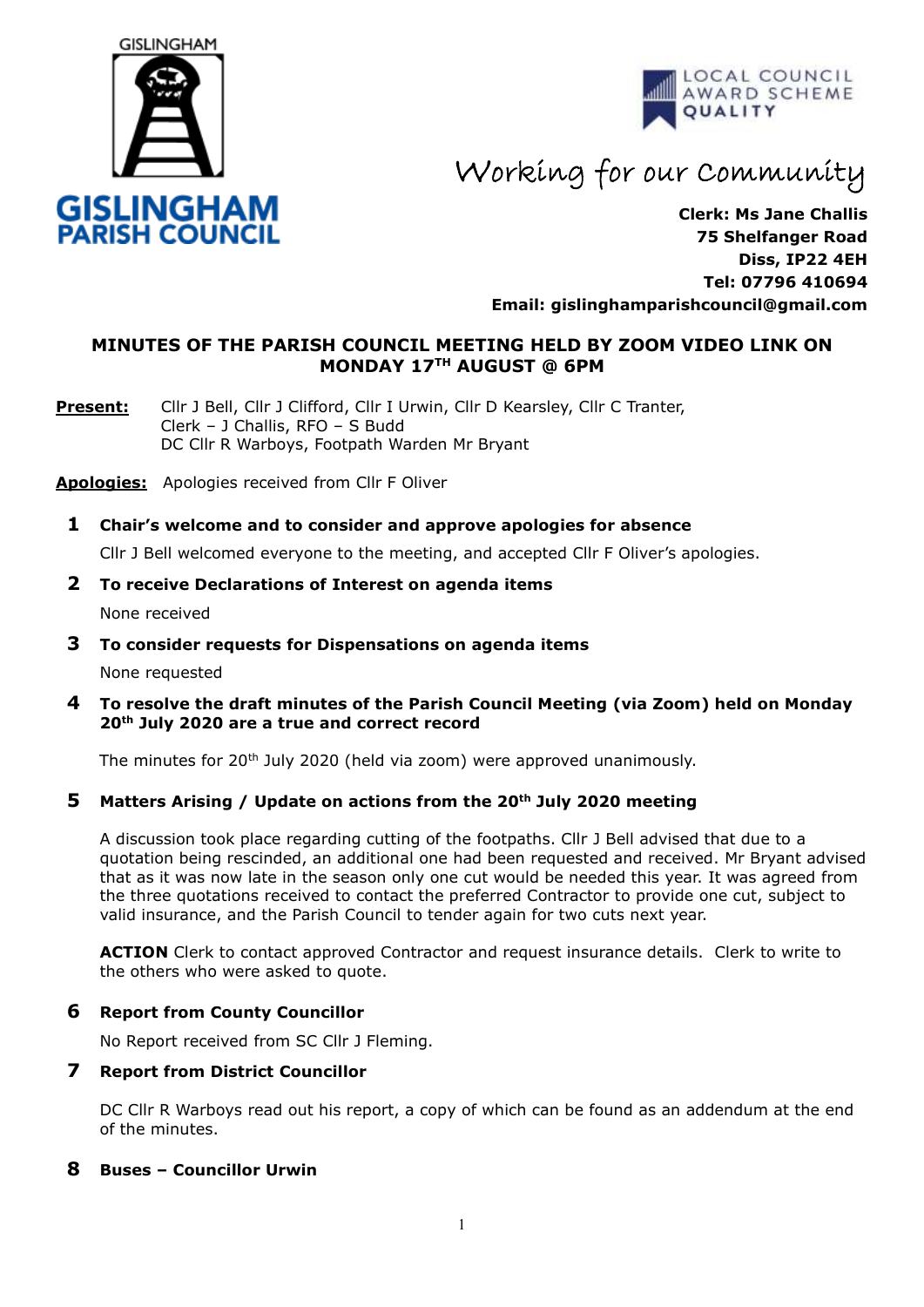



Working for our Community

**Clerk: Ms Jane Challis 75 Shelfanger Road Diss, IP22 4EH Tel: 07796 410694 Email: [gislinghamparishcouncil@gmail.com](mailto:gislinghamparishcouncil@gmail.com)**

## **MINUTES OF THE PARISH COUNCIL MEETING HELD BY ZOOM VIDEO LINK ON MONDAY 17TH AUGUST @ 6PM**

**Present:** Cllr J Bell, Cllr J Clifford, Cllr I Urwin, Cllr D Kearsley, Cllr C Tranter, Clerk – J Challis, RFO – S Budd DC Cllr R Warboys, Footpath Warden Mr Bryant

**Apologies:** Apologies received from Cllr F Oliver

**1 Chair's welcome and to consider and approve apologies for absence**

Cllr J Bell welcomed everyone to the meeting, and accepted Cllr F Oliver's apologies.

#### **2 To receive Declarations of Interest on agenda items**

None received

- **3 To consider requests for Dispensations on agenda items** None requested
- **4 To resolve the draft minutes of the Parish Council Meeting (via Zoom) held on Monday 20th July 2020 are a true and correct record**

The minutes for  $20<sup>th</sup>$  July 2020 (held via zoom) were approved unanimously.

#### **5 Matters Arising / Update on actions from the 20th July 2020 meeting**

A discussion took place regarding cutting of the footpaths. Cllr J Bell advised that due to a quotation being rescinded, an additional one had been requested and received. Mr Bryant advised that as it was now late in the season only one cut would be needed this year. It was agreed from the three quotations received to contact the preferred Contractor to provide one cut, subject to valid insurance, and the Parish Council to tender again for two cuts next year.

**ACTION** Clerk to contact approved Contractor and request insurance details. Clerk to write to the others who were asked to quote.

#### **6 Report from County Councillor**

No Report received from SC Cllr J Fleming.

#### **7 Report from District Councillor**

DC Cllr R Warboys read out his report, a copy of which can be found as an addendum at the end of the minutes.

## **8 Buses – Councillor Urwin**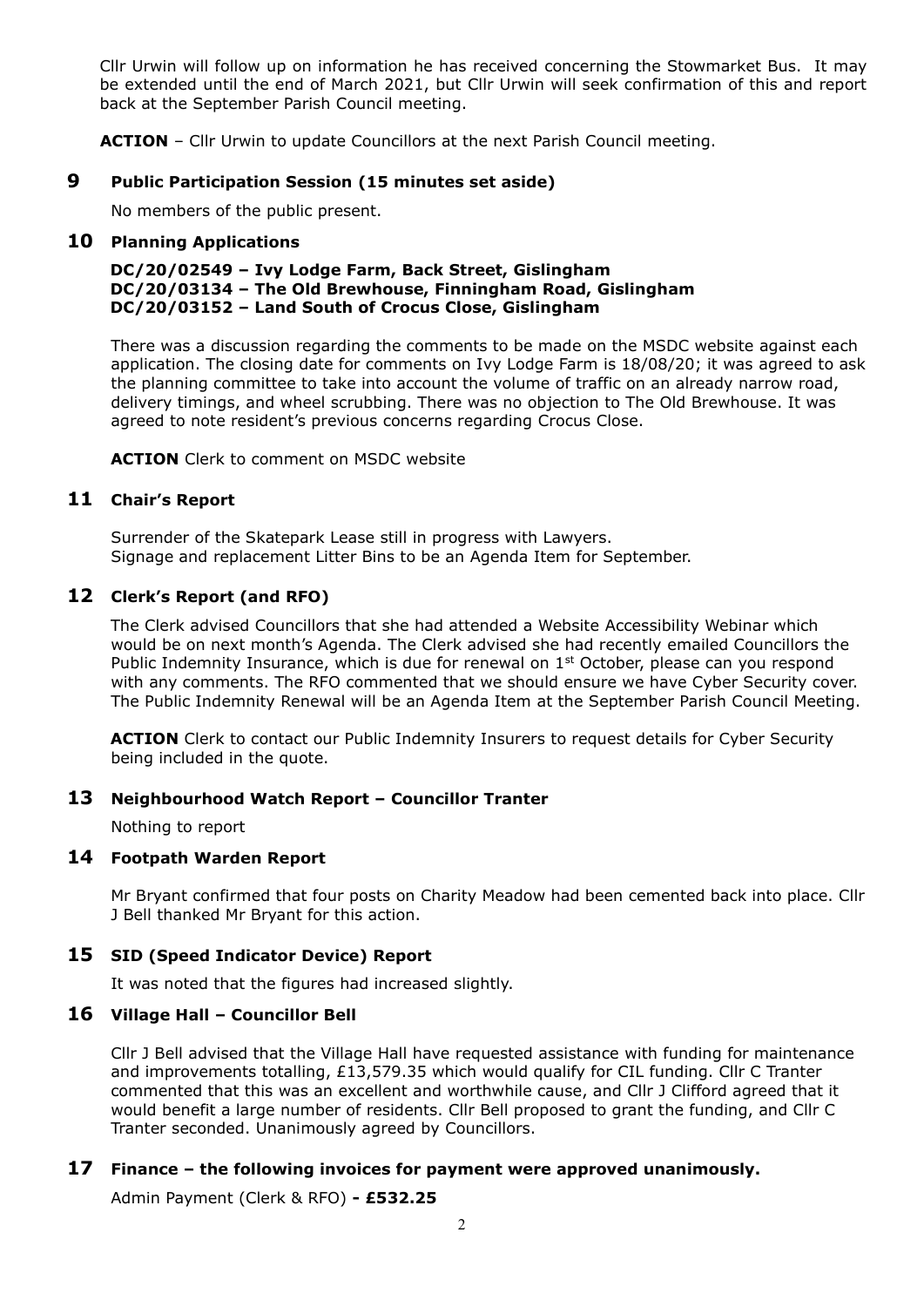Cllr Urwin will follow up on information he has received concerning the Stowmarket Bus. It may be extended until the end of March 2021, but Cllr Urwin will seek confirmation of this and report back at the September Parish Council meeting.

**ACTION** – Cllr Urwin to update Councillors at the next Parish Council meeting.

## **9 Public Participation Session (15 minutes set aside)**

No members of the public present.

#### **10 Planning Applications**

#### **DC/20/02549 – Ivy Lodge Farm, Back Street, Gislingham DC/20/03134 – The Old Brewhouse, Finningham Road, Gislingham DC/20/03152 – Land South of Crocus Close, Gislingham**

There was a discussion regarding the comments to be made on the MSDC website against each application. The closing date for comments on Ivy Lodge Farm is 18/08/20; it was agreed to ask the planning committee to take into account the volume of traffic on an already narrow road, delivery timings, and wheel scrubbing. There was no objection to The Old Brewhouse. It was agreed to note resident's previous concerns regarding Crocus Close.

**ACTION** Clerk to comment on MSDC website

## **11 Chair's Report**

 Surrender of the Skatepark Lease still in progress with Lawyers. Signage and replacement Litter Bins to be an Agenda Item for September.

## **12 Clerk's Report (and RFO)**

 The Clerk advised Councillors that she had attended a Website Accessibility Webinar which would be on next month's Agenda. The Clerk advised she had recently emailed Councillors the Public Indemnity Insurance, which is due for renewal on  $1<sup>st</sup>$  October, please can you respond with any comments. The RFO commented that we should ensure we have Cyber Security cover. The Public Indemnity Renewal will be an Agenda Item at the September Parish Council Meeting.

 **ACTION** Clerk to contact our Public Indemnity Insurers to request details for Cyber Security being included in the quote.

#### **13 Neighbourhood Watch Report – Councillor Tranter**

Nothing to report

#### **14 Footpath Warden Report**

Mr Bryant confirmed that four posts on Charity Meadow had been cemented back into place. Cllr J Bell thanked Mr Bryant for this action.

#### **15 SID (Speed Indicator Device) Report**

It was noted that the figures had increased slightly.

## **16 Village Hall – Councillor Bell**

Cllr J Bell advised that the Village Hall have requested assistance with funding for maintenance and improvements totalling, £13,579.35 which would qualify for CIL funding. Cllr C Tranter commented that this was an excellent and worthwhile cause, and Cllr J Clifford agreed that it would benefit a large number of residents. Cllr Bell proposed to grant the funding, and Cllr C Tranter seconded. Unanimously agreed by Councillors.

## **17 Finance – the following invoices for payment were approved unanimously.**

Admin Payment (Clerk & RFO) **- £532.25**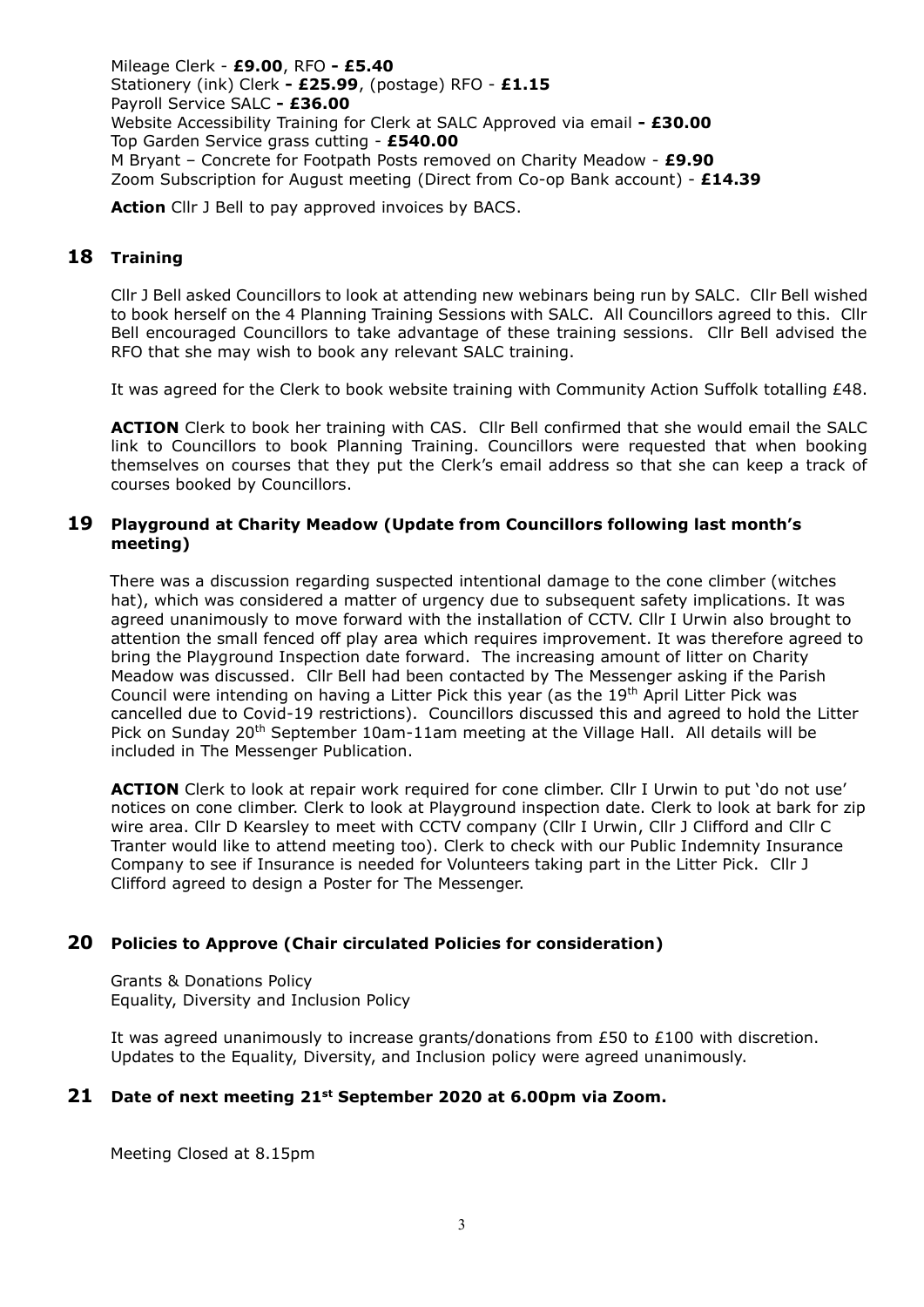Mileage Clerk - **£9.00**, RFO **- £5.40** Stationery (ink) Clerk **- £25.99**, (postage) RFO - **£1.15** Payroll Service SALC **- £36.00** Website Accessibility Training for Clerk at SALC Approved via email **- £30.00** Top Garden Service grass cutting - **£540.00** M Bryant – Concrete for Footpath Posts removed on Charity Meadow - **£9.90** Zoom Subscription for August meeting (Direct from Co-op Bank account) - **£14.39** 

**Action** Cllr J Bell to pay approved invoices by BACS.

# **18 Training**

Cllr J Bell asked Councillors to look at attending new webinars being run by SALC. Cllr Bell wished to book herself on the 4 Planning Training Sessions with SALC. All Councillors agreed to this. Cllr Bell encouraged Councillors to take advantage of these training sessions. Cllr Bell advised the RFO that she may wish to book any relevant SALC training.

It was agreed for the Clerk to book website training with Community Action Suffolk totalling £48.

**ACTION** Clerk to book her training with CAS. Cllr Bell confirmed that she would email the SALC link to Councillors to book Planning Training. Councillors were requested that when booking themselves on courses that they put the Clerk's email address so that she can keep a track of courses booked by Councillors.

## **19 Playground at Charity Meadow (Update from Councillors following last month's meeting)**

There was a discussion regarding suspected intentional damage to the cone climber (witches hat), which was considered a matter of urgency due to subsequent safety implications. It was agreed unanimously to move forward with the installation of CCTV. Cllr I Urwin also brought to attention the small fenced off play area which requires improvement. It was therefore agreed to bring the Playground Inspection date forward. The increasing amount of litter on Charity Meadow was discussed. Cllr Bell had been contacted by The Messenger asking if the Parish Council were intending on having a Litter Pick this year (as the 19<sup>th</sup> April Litter Pick was cancelled due to Covid-19 restrictions). Councillors discussed this and agreed to hold the Litter Pick on Sunday 20<sup>th</sup> September 10am-11am meeting at the Village Hall. All details will be included in The Messenger Publication.

 **ACTION** Clerk to look at repair work required for cone climber. Cllr I Urwin to put 'do not use' notices on cone climber. Clerk to look at Playground inspection date. Clerk to look at bark for zip wire area. Cllr D Kearsley to meet with CCTV company (Cllr I Urwin, Cllr J Clifford and Cllr C Tranter would like to attend meeting too). Clerk to check with our Public Indemnity Insurance Company to see if Insurance is needed for Volunteers taking part in the Litter Pick. Cllr J Clifford agreed to design a Poster for The Messenger.

## **20 Policies to Approve (Chair circulated Policies for consideration)**

Grants & Donations Policy Equality, Diversity and Inclusion Policy

It was agreed unanimously to increase grants/donations from  $E50$  to  $E100$  with discretion. Updates to the Equality, Diversity, and Inclusion policy were agreed unanimously.

## **21 Date of next meeting 21st September 2020 at 6.00pm via Zoom.**

Meeting Closed at 8.15pm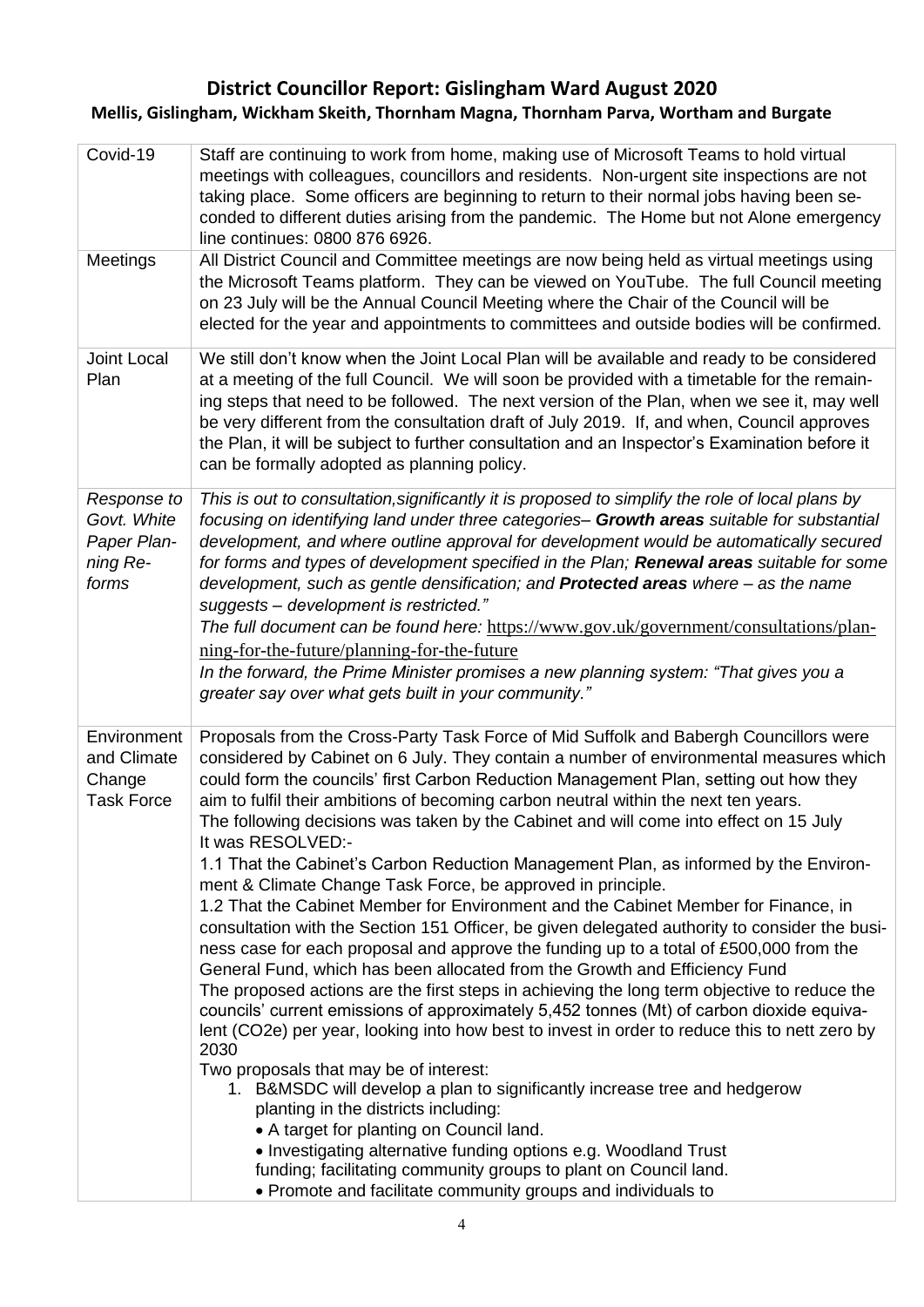# **District Councillor Report: Gislingham Ward August 2020 Mellis, Gislingham, Wickham Skeith, Thornham Magna, Thornham Parva, Wortham and Burgate**

| Covid-19                                                       | Staff are continuing to work from home, making use of Microsoft Teams to hold virtual<br>meetings with colleagues, councillors and residents. Non-urgent site inspections are not<br>taking place. Some officers are beginning to return to their normal jobs having been se-<br>conded to different duties arising from the pandemic. The Home but not Alone emergency<br>line continues: 0800 876 6926.                                                                                                                                                                                                                                                                                                                                                                                                                                                                                                                                                                                                                                                                                                                                                                                                                                                                                                                                                                                                                                                                                                                                                                                                                                                                                                                 |
|----------------------------------------------------------------|---------------------------------------------------------------------------------------------------------------------------------------------------------------------------------------------------------------------------------------------------------------------------------------------------------------------------------------------------------------------------------------------------------------------------------------------------------------------------------------------------------------------------------------------------------------------------------------------------------------------------------------------------------------------------------------------------------------------------------------------------------------------------------------------------------------------------------------------------------------------------------------------------------------------------------------------------------------------------------------------------------------------------------------------------------------------------------------------------------------------------------------------------------------------------------------------------------------------------------------------------------------------------------------------------------------------------------------------------------------------------------------------------------------------------------------------------------------------------------------------------------------------------------------------------------------------------------------------------------------------------------------------------------------------------------------------------------------------------|
| Meetings                                                       | All District Council and Committee meetings are now being held as virtual meetings using<br>the Microsoft Teams platform. They can be viewed on YouTube. The full Council meeting<br>on 23 July will be the Annual Council Meeting where the Chair of the Council will be<br>elected for the year and appointments to committees and outside bodies will be confirmed.                                                                                                                                                                                                                                                                                                                                                                                                                                                                                                                                                                                                                                                                                                                                                                                                                                                                                                                                                                                                                                                                                                                                                                                                                                                                                                                                                    |
| Joint Local<br>Plan                                            | We still don't know when the Joint Local Plan will be available and ready to be considered<br>at a meeting of the full Council. We will soon be provided with a timetable for the remain-<br>ing steps that need to be followed. The next version of the Plan, when we see it, may well<br>be very different from the consultation draft of July 2019. If, and when, Council approves<br>the Plan, it will be subject to further consultation and an Inspector's Examination before it<br>can be formally adopted as planning policy.                                                                                                                                                                                                                                                                                                                                                                                                                                                                                                                                                                                                                                                                                                                                                                                                                                                                                                                                                                                                                                                                                                                                                                                     |
| Response to<br>Govt. White<br>Paper Plan-<br>ning Re-<br>forms | This is out to consultation, significantly it is proposed to simplify the role of local plans by<br>focusing on identifying land under three categories- Growth areas suitable for substantial<br>development, and where outline approval for development would be automatically secured<br>for forms and types of development specified in the Plan; Renewal areas suitable for some<br>development, such as gentle densification; and Protected areas where - as the name<br>suggests - development is restricted."<br>The full document can be found here: https://www.gov.uk/government/consultations/plan-<br>ning-for-the-future/planning-for-the-future<br>In the forward, the Prime Minister promises a new planning system: "That gives you a<br>greater say over what gets built in your community."                                                                                                                                                                                                                                                                                                                                                                                                                                                                                                                                                                                                                                                                                                                                                                                                                                                                                                            |
| Environment<br>and Climate<br>Change<br><b>Task Force</b>      | Proposals from the Cross-Party Task Force of Mid Suffolk and Babergh Councillors were<br>considered by Cabinet on 6 July. They contain a number of environmental measures which<br>could form the councils' first Carbon Reduction Management Plan, setting out how they<br>aim to fulfil their ambitions of becoming carbon neutral within the next ten years.<br>The following decisions was taken by the Cabinet and will come into effect on 15 July<br>It was RESOLVED:-<br>1.1 That the Cabinet's Carbon Reduction Management Plan, as informed by the Environ-<br>ment & Climate Change Task Force, be approved in principle.<br>1.2 That the Cabinet Member for Environment and the Cabinet Member for Finance, in<br>consultation with the Section 151 Officer, be given delegated authority to consider the busi-<br>ness case for each proposal and approve the funding up to a total of £500,000 from the<br>General Fund, which has been allocated from the Growth and Efficiency Fund<br>The proposed actions are the first steps in achieving the long term objective to reduce the<br>councils' current emissions of approximately 5,452 tonnes (Mt) of carbon dioxide equiva-<br>lent (CO2e) per year, looking into how best to invest in order to reduce this to nett zero by<br>2030<br>Two proposals that may be of interest:<br>1. B&MSDC will develop a plan to significantly increase tree and hedgerow<br>planting in the districts including:<br>• A target for planting on Council land.<br>• Investigating alternative funding options e.g. Woodland Trust<br>funding; facilitating community groups to plant on Council land.<br>• Promote and facilitate community groups and individuals to |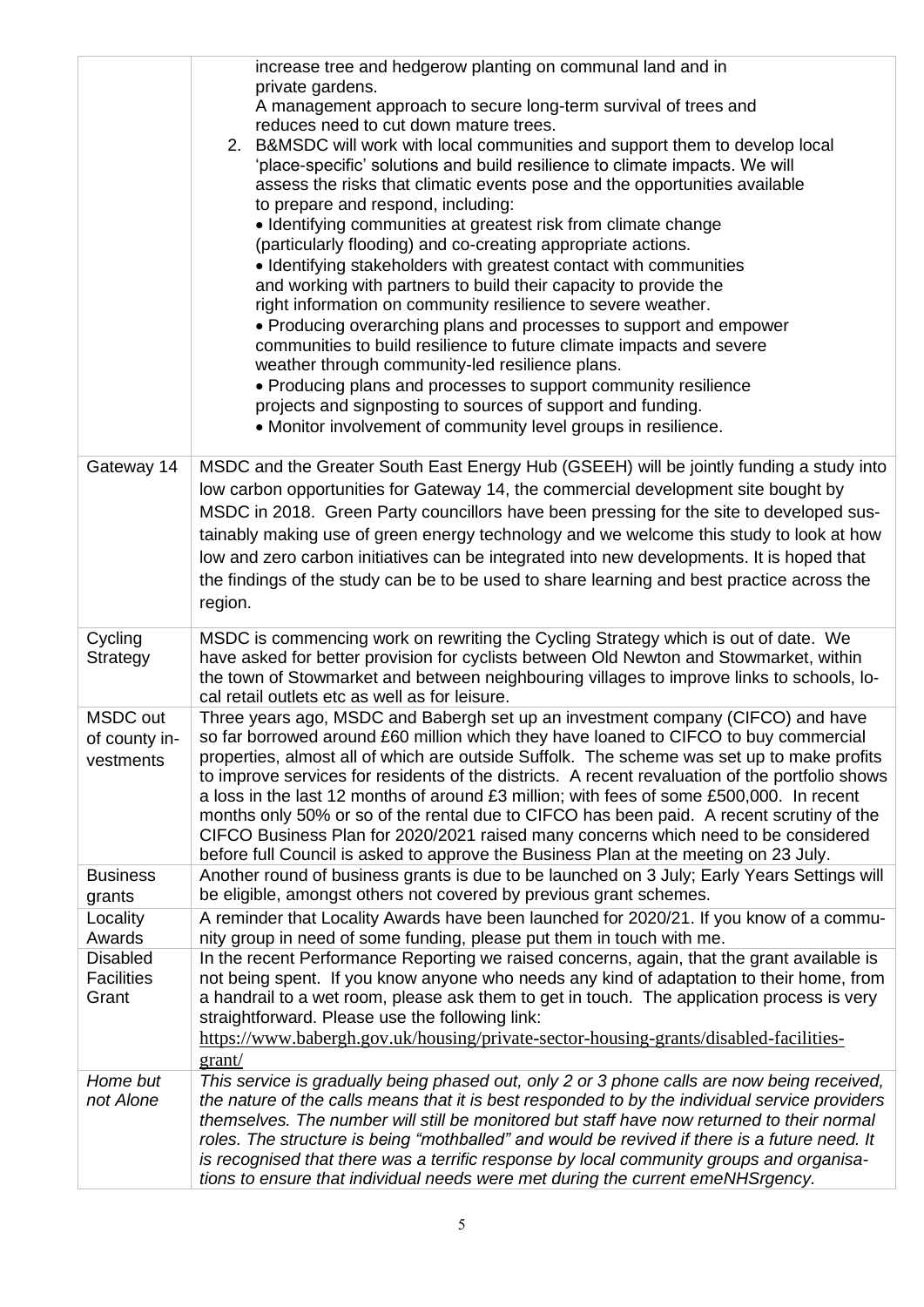|                                               | increase tree and hedgerow planting on communal land and in<br>private gardens.<br>A management approach to secure long-term survival of trees and<br>reduces need to cut down mature trees.<br>2. B&MSDC will work with local communities and support them to develop local<br>'place-specific' solutions and build resilience to climate impacts. We will<br>assess the risks that climatic events pose and the opportunities available<br>to prepare and respond, including:<br>• Identifying communities at greatest risk from climate change<br>(particularly flooding) and co-creating appropriate actions.<br>• Identifying stakeholders with greatest contact with communities<br>and working with partners to build their capacity to provide the<br>right information on community resilience to severe weather.<br>• Producing overarching plans and processes to support and empower<br>communities to build resilience to future climate impacts and severe<br>weather through community-led resilience plans.<br>• Producing plans and processes to support community resilience<br>projects and signposting to sources of support and funding.<br>• Monitor involvement of community level groups in resilience. |
|-----------------------------------------------|---------------------------------------------------------------------------------------------------------------------------------------------------------------------------------------------------------------------------------------------------------------------------------------------------------------------------------------------------------------------------------------------------------------------------------------------------------------------------------------------------------------------------------------------------------------------------------------------------------------------------------------------------------------------------------------------------------------------------------------------------------------------------------------------------------------------------------------------------------------------------------------------------------------------------------------------------------------------------------------------------------------------------------------------------------------------------------------------------------------------------------------------------------------------------------------------------------------------------------|
| Gateway 14                                    | MSDC and the Greater South East Energy Hub (GSEEH) will be jointly funding a study into<br>low carbon opportunities for Gateway 14, the commercial development site bought by<br>MSDC in 2018. Green Party councillors have been pressing for the site to developed sus-<br>tainably making use of green energy technology and we welcome this study to look at how<br>low and zero carbon initiatives can be integrated into new developments. It is hoped that<br>the findings of the study can be to be used to share learning and best practice across the<br>region.                                                                                                                                                                                                                                                                                                                                                                                                                                                                                                                                                                                                                                                       |
| Cycling<br>Strategy                           | MSDC is commencing work on rewriting the Cycling Strategy which is out of date. We<br>have asked for better provision for cyclists between Old Newton and Stowmarket, within<br>the town of Stowmarket and between neighbouring villages to improve links to schools, lo-<br>cal retail outlets etc as well as for leisure.                                                                                                                                                                                                                                                                                                                                                                                                                                                                                                                                                                                                                                                                                                                                                                                                                                                                                                     |
| MSDC out<br>of county in-<br>vestments        | Three years ago, MSDC and Babergh set up an investment company (CIFCO) and have<br>so far borrowed around £60 million which they have loaned to CIFCO to buy commercial<br>properties, almost all of which are outside Suffolk. The scheme was set up to make profits<br>to improve services for residents of the districts. A recent revaluation of the portfolio shows<br>a loss in the last 12 months of around £3 million; with fees of some £500,000. In recent<br>months only 50% or so of the rental due to CIFCO has been paid. A recent scrutiny of the<br>CIFCO Business Plan for 2020/2021 raised many concerns which need to be considered<br>before full Council is asked to approve the Business Plan at the meeting on 23 July.                                                                                                                                                                                                                                                                                                                                                                                                                                                                                  |
| <b>Business</b><br>grants                     | Another round of business grants is due to be launched on 3 July; Early Years Settings will<br>be eligible, amongst others not covered by previous grant schemes.                                                                                                                                                                                                                                                                                                                                                                                                                                                                                                                                                                                                                                                                                                                                                                                                                                                                                                                                                                                                                                                               |
| Locality<br>Awards                            | A reminder that Locality Awards have been launched for 2020/21. If you know of a commu-<br>nity group in need of some funding, please put them in touch with me.                                                                                                                                                                                                                                                                                                                                                                                                                                                                                                                                                                                                                                                                                                                                                                                                                                                                                                                                                                                                                                                                |
| <b>Disabled</b><br><b>Facilities</b><br>Grant | In the recent Performance Reporting we raised concerns, again, that the grant available is<br>not being spent. If you know anyone who needs any kind of adaptation to their home, from<br>a handrail to a wet room, please ask them to get in touch. The application process is very<br>straightforward. Please use the following link:<br>https://www.babergh.gov.uk/housing/private-sector-housing-grants/disabled-facilities-<br>grant/                                                                                                                                                                                                                                                                                                                                                                                                                                                                                                                                                                                                                                                                                                                                                                                      |
| Home but<br>not Alone                         | This service is gradually being phased out, only 2 or 3 phone calls are now being received,<br>the nature of the calls means that it is best responded to by the individual service providers<br>themselves. The number will still be monitored but staff have now returned to their normal<br>roles. The structure is being "mothballed" and would be revived if there is a future need. It<br>is recognised that there was a terrific response by local community groups and organisa-<br>tions to ensure that individual needs were met during the current emeNHSrgency.                                                                                                                                                                                                                                                                                                                                                                                                                                                                                                                                                                                                                                                     |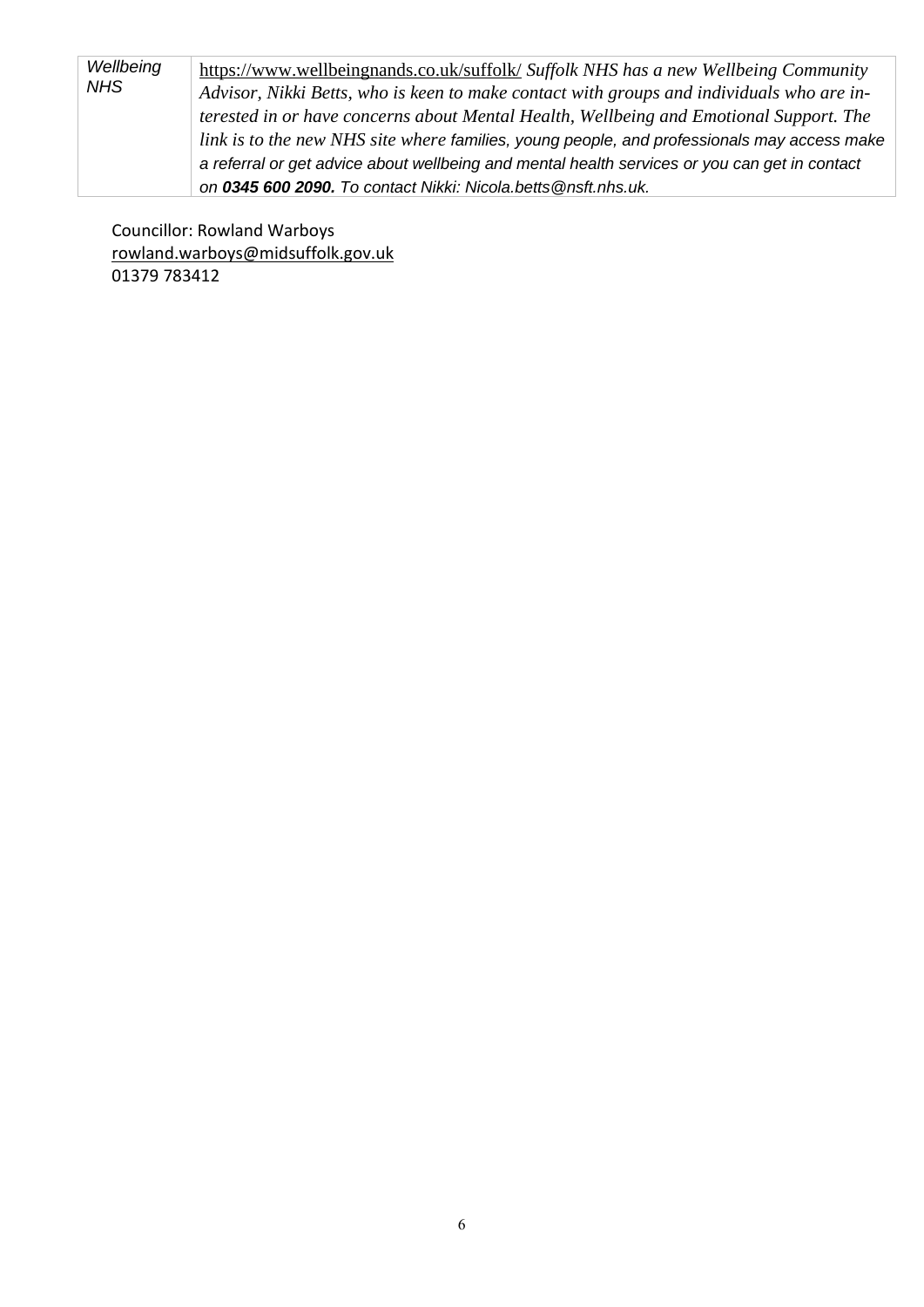| Wellbeing<br><b>NHS</b> | https://www.wellbeingnands.co.uk/suffolk/ Suffolk NHS has a new Wellbeing Community<br>Advisor, Nikki Betts, who is keen to make contact with groups and individuals who are in-<br>terested in or have concerns about Mental Health, Wellbeing and Emotional Support. The |
|-------------------------|----------------------------------------------------------------------------------------------------------------------------------------------------------------------------------------------------------------------------------------------------------------------------|
|                         | link is to the new NHS site where families, young people, and professionals may access make<br>a referral or get advice about wellbeing and mental health services or you can get in contact                                                                               |
|                         | on 0345 600 2090. To contact Nikki: Nicola.betts@nsft.nhs.uk.                                                                                                                                                                                                              |

 Councillor: Rowland Warboys [rowland.warboys@midsuffolk.gov.uk](mailto:rowland.warboys@midsuffolk.gov.uk) 01379 783412